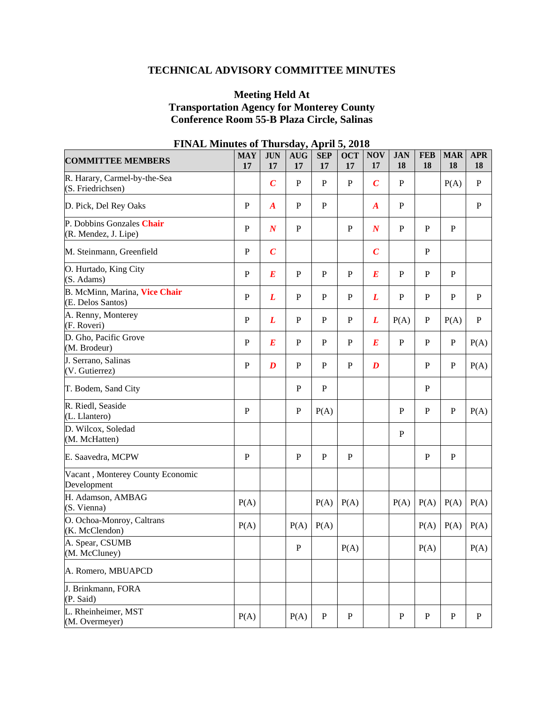# **TECHNICAL ADVISORY COMMITTEE MINUTES**

## **Meeting Held At Transportation Agency for Monterey County Conference Room 55-B Plaza Circle, Salinas**

| <b>COMMITTEE MEMBERS</b>                           | <b>MAY</b><br>17 | <b>JUN</b><br>17 | <b>AUG</b><br>17 | <b>SEP</b><br>17 | <b>OCT</b><br>17 | <b>NOV</b><br>17 | <b>JAN</b><br>18 | <b>FEB</b><br>18 | <b>MAR</b><br>18 | <b>APR</b><br>18 |
|----------------------------------------------------|------------------|------------------|------------------|------------------|------------------|------------------|------------------|------------------|------------------|------------------|
| R. Harary, Carmel-by-the-Sea<br>(S. Friedrichsen)  |                  | $\boldsymbol{C}$ | ${\bf P}$        | $\mathbf{P}$     | $\mathbf P$      | $\boldsymbol{C}$ | ${\bf P}$        |                  | P(A)             | $\mathbf{P}$     |
| D. Pick, Del Rey Oaks                              | $\, {\bf P}$     | $\boldsymbol{A}$ | ${\bf P}$        | $\, {\bf P}$     |                  | $\boldsymbol{A}$ | ${\bf P}$        |                  |                  | P                |
| P. Dobbins Gonzales Chair<br>(R. Mendez, J. Lipe)  | $\mathbf{P}$     | $\boldsymbol{N}$ | $\mathbf{P}$     |                  | ${\bf P}$        | $\boldsymbol{N}$ | $\mathbf{P}$     | $\mathbf{P}$     | $\, {\bf P}$     |                  |
| M. Steinmann, Greenfield                           | $\, {\bf P}$     | $\boldsymbol{C}$ |                  |                  |                  | $\boldsymbol{C}$ |                  | P                |                  |                  |
| O. Hurtado, King City<br>(S. Adams)                | $\, {\bf P}$     | $\boldsymbol{E}$ | $\mathbf{P}$     | $\mathbf{P}$     | ${\bf P}$        | $E_{\rm}$        | P                | $\mathbf{P}$     | $\mathbf{P}$     |                  |
| B. McMinn, Marina, Vice Chair<br>(E. Delos Santos) | $\mathbf P$      | L                | ${\bf P}$        | ${\bf P}$        | $\mathbf P$      | L                | ${\bf P}$        | $\mathbf P$      | ${\bf P}$        | $\mathbf{P}$     |
| A. Renny, Monterey<br>(F. Roveri)                  | $\mathbf{P}$     | L                | $\mathbf P$      | $\mathbf{P}$     | ${\bf P}$        | L                | P(A)             | ${\bf P}$        | P(A)             | ${\bf P}$        |
| D. Gho, Pacific Grove<br>(M. Brodeur)              | $\mathbf{P}$     | $\bm E$          | $\mathbf P$      | $\mathbf{P}$     | $\mathbf P$      | $\boldsymbol{E}$ | $\mathbf{P}$     | $\mathbf{P}$     | $\mathbf P$      | P(A)             |
| J. Serrano, Salinas<br>(V. Gutierrez)              | $\, {\bf P}$     | $\boldsymbol{D}$ | $\mathbf P$      | $\mathbf{P}$     | $\mathbf{P}$     | $\boldsymbol{D}$ |                  | $\mathbf{P}$     | $\mathbf P$      | P(A)             |
| T. Bodem, Sand City                                |                  |                  | $\mathbf{P}$     | $\mathbf{P}$     |                  |                  |                  | $\mathbf P$      |                  |                  |
| R. Riedl, Seaside<br>(L. Llantero)                 | $\mathbf{P}$     |                  | $\mathbf P$      | P(A)             |                  |                  | P                | $\mathbf{P}$     | $\mathbf P$      | P(A)             |
| D. Wilcox, Soledad<br>(M. McHatten)                |                  |                  |                  |                  |                  |                  | $\mathbf{P}$     |                  |                  |                  |
| E. Saavedra, MCPW                                  | P                |                  | $\mathbf{P}$     | $\mathbf{P}$     | $\mathbf{P}$     |                  |                  | $\mathbf{P}$     | ${\bf P}$        |                  |
| Vacant, Monterey County Economic<br>Development    |                  |                  |                  |                  |                  |                  |                  |                  |                  |                  |
| H. Adamson, AMBAG<br>(S. Vienna)                   | P(A)             |                  |                  | P(A)             | P(A)             |                  | P(A)             | P(A)             | P(A)             | P(A)             |
| O. Ochoa-Monroy, Caltrans<br>(K. McClendon)        | P(A)             |                  | P(A)             | P(A)             |                  |                  |                  | P(A)             | P(A)             | P(A)             |
| A. Spear, CSUMB<br>(M. McCluney)                   |                  |                  | P                |                  | P(A)             |                  |                  | P(A)             |                  | P(A)             |
| A. Romero, MBUAPCD                                 |                  |                  |                  |                  |                  |                  |                  |                  |                  |                  |
| J. Brinkmann, FORA<br>(P. Said)                    |                  |                  |                  |                  |                  |                  |                  |                  |                  |                  |
| L. Rheinheimer, MST<br>(M. Overmeyer)              | P(A)             |                  | P(A)             | $\mathbf{P}$     | ${\bf P}$        |                  | P                | ${\bf P}$        | ${\bf P}$        | $\mathbf P$      |

## **FINAL Minutes of Thursday, April 5, 2018**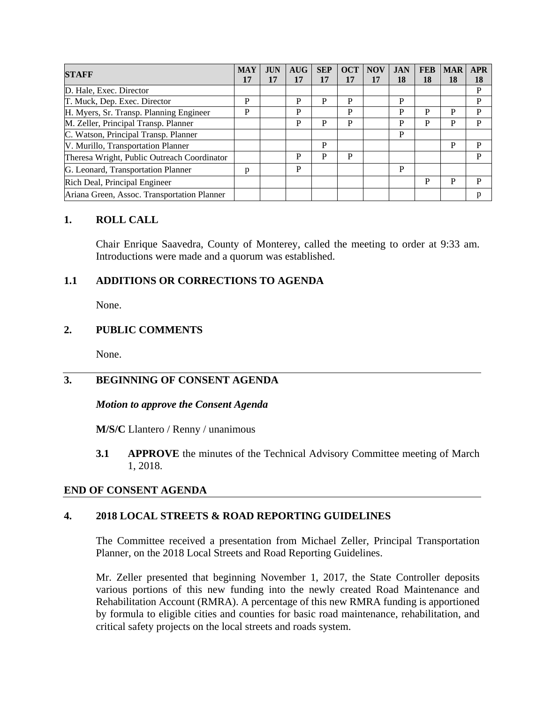| <b>STAFF</b>                                | <b>MAY</b> | <b>JUN</b> | <b>AUG</b> | <b>SEP</b> | <b>OCT</b> | <b>NOV</b> | <b>JAN</b> | <b>FEB</b> | <b>MAR</b> | <b>APR</b> |
|---------------------------------------------|------------|------------|------------|------------|------------|------------|------------|------------|------------|------------|
|                                             | 17         | 17         | 17         | 17         | 17         | 17         | 18         | 18         | 18         | 18         |
| D. Hale, Exec. Director                     |            |            |            |            |            |            |            |            |            | P          |
| T. Muck, Dep. Exec. Director                | P          |            | P          | P          | P          |            | P          |            |            | P          |
| H. Myers, Sr. Transp. Planning Engineer     | P          |            | P          |            | P          |            | P          | P          | P          | P          |
| M. Zeller, Principal Transp. Planner        |            |            | P          | P          | P          |            | P          | P          | P          | P          |
| C. Watson, Principal Transp. Planner        |            |            |            |            |            |            | P          |            |            |            |
| V. Murillo, Transportation Planner          |            |            |            | P          |            |            |            |            | P          | P          |
| Theresa Wright, Public Outreach Coordinator |            |            | P          | P          | P          |            |            |            |            | P          |
| G. Leonard, Transportation Planner          | р          |            | P          |            |            |            | P          |            |            |            |
| Rich Deal, Principal Engineer               |            |            |            |            |            |            |            | P          | P          | D          |
| Ariana Green, Assoc. Transportation Planner |            |            |            |            |            |            |            |            |            |            |

#### **1. ROLL CALL**

Chair Enrique Saavedra, County of Monterey, called the meeting to order at 9:33 am. Introductions were made and a quorum was established.

## **1.1 ADDITIONS OR CORRECTIONS TO AGENDA**

None.

## **2. PUBLIC COMMENTS**

None.

## **3. BEGINNING OF CONSENT AGENDA**

#### *Motion to approve the Consent Agenda*

**M/S/C** Llantero / Renny / unanimous

**3.1 APPROVE** the minutes of the Technical Advisory Committee meeting of March 1, 2018.

#### **END OF CONSENT AGENDA**

## **4. 2018 LOCAL STREETS & ROAD REPORTING GUIDELINES**

The Committee received a presentation from Michael Zeller, Principal Transportation Planner, on the 2018 Local Streets and Road Reporting Guidelines.

Mr. Zeller presented that beginning November 1, 2017, the State Controller deposits various portions of this new funding into the newly created Road Maintenance and Rehabilitation Account (RMRA). A percentage of this new RMRA funding is apportioned by formula to eligible cities and counties for basic road maintenance, rehabilitation, and critical safety projects on the local streets and roads system.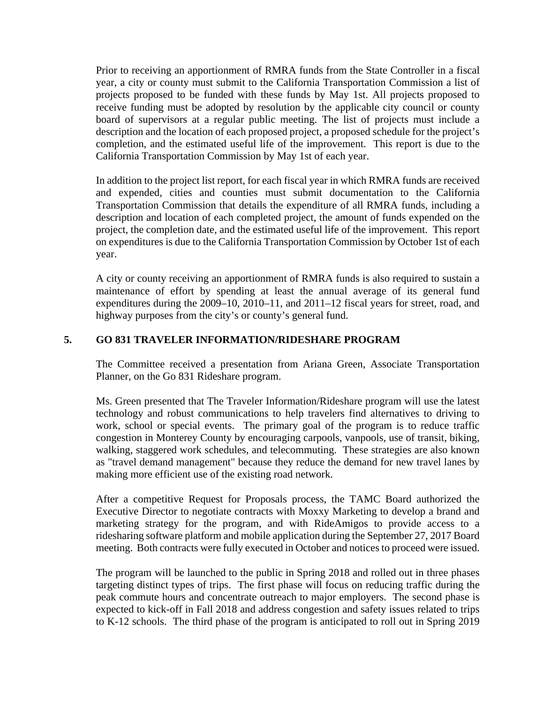Prior to receiving an apportionment of RMRA funds from the State Controller in a fiscal year, a city or county must submit to the California Transportation Commission a list of projects proposed to be funded with these funds by May 1st. All projects proposed to receive funding must be adopted by resolution by the applicable city council or county board of supervisors at a regular public meeting. The list of projects must include a description and the location of each proposed project, a proposed schedule for the project's completion, and the estimated useful life of the improvement. This report is due to the California Transportation Commission by May 1st of each year.

In addition to the project list report, for each fiscal year in which RMRA funds are received and expended, cities and counties must submit documentation to the California Transportation Commission that details the expenditure of all RMRA funds, including a description and location of each completed project, the amount of funds expended on the project, the completion date, and the estimated useful life of the improvement. This report on expenditures is due to the California Transportation Commission by October 1st of each year.

A city or county receiving an apportionment of RMRA funds is also required to sustain a maintenance of effort by spending at least the annual average of its general fund expenditures during the 2009–10, 2010–11, and 2011–12 fiscal years for street, road, and highway purposes from the city's or county's general fund.

## **5. GO 831 TRAVELER INFORMATION/RIDESHARE PROGRAM**

The Committee received a presentation from Ariana Green, Associate Transportation Planner, on the Go 831 Rideshare program.

Ms. Green presented that The Traveler Information/Rideshare program will use the latest technology and robust communications to help travelers find alternatives to driving to work, school or special events. The primary goal of the program is to reduce traffic congestion in Monterey County by encouraging carpools, vanpools, use of transit, biking, walking, staggered work schedules, and telecommuting. These strategies are also known as "travel demand management" because they reduce the demand for new travel lanes by making more efficient use of the existing road network.

After a competitive Request for Proposals process, the TAMC Board authorized the Executive Director to negotiate contracts with Moxxy Marketing to develop a brand and marketing strategy for the program, and with RideAmigos to provide access to a ridesharing software platform and mobile application during the September 27, 2017 Board meeting. Both contracts were fully executed in October and notices to proceed were issued.

The program will be launched to the public in Spring 2018 and rolled out in three phases targeting distinct types of trips. The first phase will focus on reducing traffic during the peak commute hours and concentrate outreach to major employers. The second phase is expected to kick-off in Fall 2018 and address congestion and safety issues related to trips to K-12 schools. The third phase of the program is anticipated to roll out in Spring 2019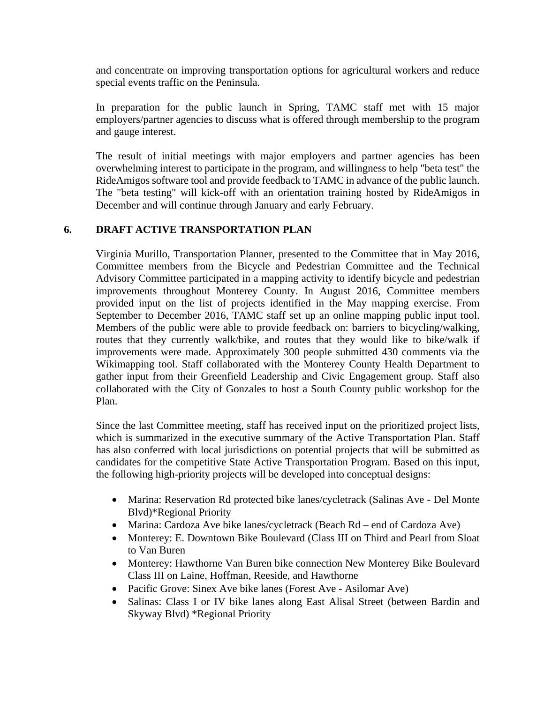and concentrate on improving transportation options for agricultural workers and reduce special events traffic on the Peninsula.

In preparation for the public launch in Spring, TAMC staff met with 15 major employers/partner agencies to discuss what is offered through membership to the program and gauge interest.

The result of initial meetings with major employers and partner agencies has been overwhelming interest to participate in the program, and willingness to help "beta test" the RideAmigos software tool and provide feedback to TAMC in advance of the public launch. The "beta testing" will kick-off with an orientation training hosted by RideAmigos in December and will continue through January and early February.

## **6. DRAFT ACTIVE TRANSPORTATION PLAN**

Virginia Murillo, Transportation Planner, presented to the Committee that in May 2016, Committee members from the Bicycle and Pedestrian Committee and the Technical Advisory Committee participated in a mapping activity to identify bicycle and pedestrian improvements throughout Monterey County. In August 2016, Committee members provided input on the list of projects identified in the May mapping exercise. From September to December 2016, TAMC staff set up an online mapping public input tool. Members of the public were able to provide feedback on: barriers to bicycling/walking, routes that they currently walk/bike, and routes that they would like to bike/walk if improvements were made. Approximately 300 people submitted 430 comments via the Wikimapping tool. Staff collaborated with the Monterey County Health Department to gather input from their Greenfield Leadership and Civic Engagement group. Staff also collaborated with the City of Gonzales to host a South County public workshop for the Plan.

Since the last Committee meeting, staff has received input on the prioritized project lists, which is summarized in the executive summary of the Active Transportation Plan. Staff has also conferred with local jurisdictions on potential projects that will be submitted as candidates for the competitive State Active Transportation Program. Based on this input, the following high-priority projects will be developed into conceptual designs:

- Marina: Reservation Rd protected bike lanes/cycletrack (Salinas Ave Del Monte Blvd)\*Regional Priority
- Marina: Cardoza Ave bike lanes/cycletrack (Beach Rd end of Cardoza Ave)
- Monterey: E. Downtown Bike Boulevard (Class III on Third and Pearl from Sloat to Van Buren
- Monterey: Hawthorne Van Buren bike connection New Monterey Bike Boulevard Class III on Laine, Hoffman, Reeside, and Hawthorne
- Pacific Grove: Sinex Ave bike lanes (Forest Ave Asilomar Ave)
- Salinas: Class I or IV bike lanes along East Alisal Street (between Bardin and Skyway Blvd) \*Regional Priority